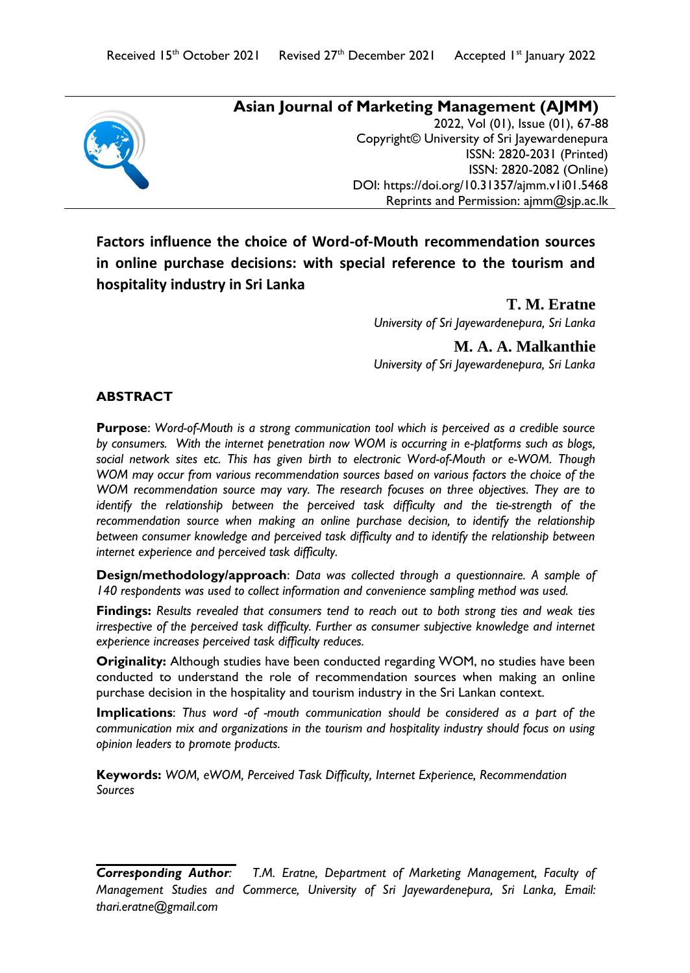

## **Asian Journal of Marketing Management (AJMM)** 2022, Vol (01), Issue (01), 67-88 Copyright© University of Sri Jayewardenepura ISSN: 2820-2031 (Printed) ISSN: 2820-2082 (Online) DOI:<https://doi.org/10.31357/ajmm.v1i01.5468> Reprints and Permission: ajmm@sjp.ac.lk

**Factors influence the choice of Word-of-Mouth recommendation sources in online purchase decisions: with special reference to the tourism and hospitality industry in Sri Lanka**

> **T. M. Eratne**  *University of Sri Jayewardenepura, Sri Lanka*

> **M. A. A. Malkanthie** *University of Sri Jayewardenepura, Sri Lanka*

# **ABSTRACT**

**Purpose**: *Word-of-Mouth is a strong communication tool which is perceived as a credible source by consumers. With the internet penetration now WOM is occurring in e-platforms such as blogs,*  social network sites etc. This has given birth to electronic Word-of-Mouth or e-WOM. Though *WOM may occur from various recommendation sources based on various factors the choice of the WOM recommendation source may vary. The research focuses on three objectives. They are to identify the relationship between the perceived task difficulty and the tie-strength of the* recommendation source when making an online purchase decision, to identify the relationship *between consumer knowledge and perceived task difficulty and to identify the relationship between internet experience and perceived task difficulty.* 

**Design/methodology/approach**: *Data was collected through a questionnaire. A sample of 140 respondents was used to collect information and convenience sampling method was used.*

**Findings:** *Results revealed that consumers tend to reach out to both strong ties and weak ties irrespective of the perceived task difficulty. Further as consumer subjective knowledge and internet experience increases perceived task difficulty reduces.* 

**Originality:** Although studies have been conducted regarding WOM, no studies have been conducted to understand the role of recommendation sources when making an online purchase decision in the hospitality and tourism industry in the Sri Lankan context.

**Implications**: *Thus word -of -mouth communication should be considered as a part of the communication mix and organizations in the tourism and hospitality industry should focus on using opinion leaders to promote products.*

**Keywords:** *WOM, eWOM, Perceived Task Difficulty, Internet Experience, Recommendation Sources*

*Corresponding Author: T.M. Eratne, Department of Marketing Management, Faculty of Management Studies and Commerce, University of Sri Jayewardenepura, Sri Lanka, Email: [thari.eratne@gmail.com](mailto:thari.eratne@gmail.com)*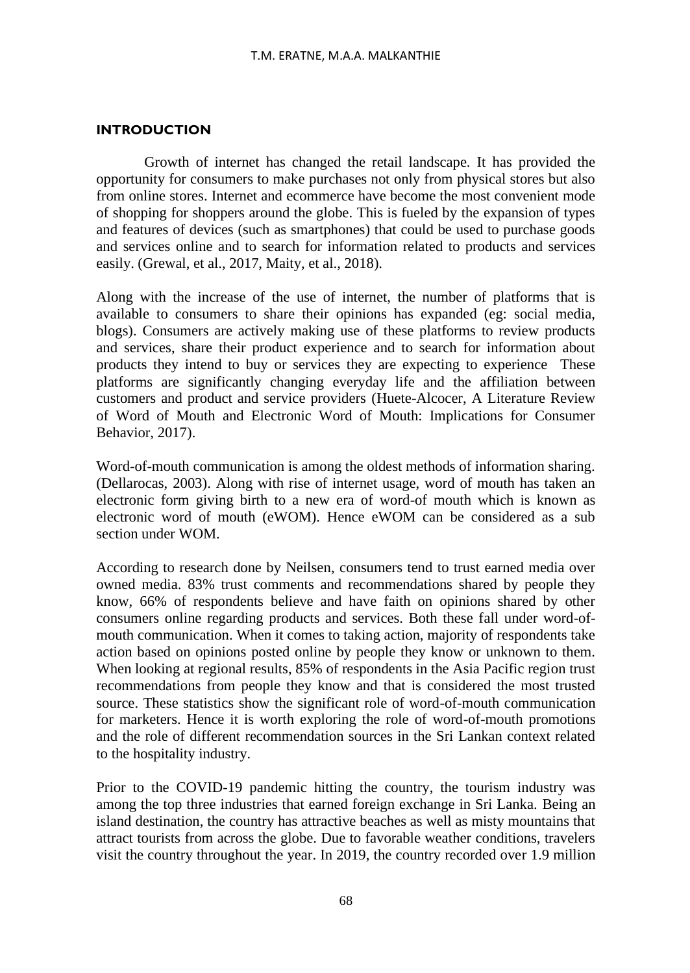### **INTRODUCTION**

Growth of internet has changed the retail landscape. It has provided the opportunity for consumers to make purchases not only from physical stores but also from online stores. Internet and ecommerce have become the most convenient mode of shopping for shoppers around the globe. This is fueled by the expansion of types and features of devices (such as smartphones) that could be used to purchase goods and services online and to search for information related to products and services easily. (Grewal, et al., 2017, Maity, et al., 2018).

Along with the increase of the use of internet, the number of platforms that is available to consumers to share their opinions has expanded (eg: social media, blogs). Consumers are actively making use of these platforms to review products and services, share their product experience and to search for information about products they intend to buy or services they are expecting to experience These platforms are significantly changing everyday life and the affiliation between customers and product and service providers (Huete-Alcocer, A Literature Review of Word of Mouth and Electronic Word of Mouth: Implications for Consumer Behavior, 2017).

Word-of-mouth communication is among the oldest methods of information sharing. (Dellarocas, 2003). Along with rise of internet usage, word of mouth has taken an electronic form giving birth to a new era of word-of mouth which is known as electronic word of mouth (eWOM). Hence eWOM can be considered as a sub section under WOM

According to research done by Neilsen, consumers tend to trust earned media over owned media. 83% trust comments and recommendations shared by people they know, 66% of respondents believe and have faith on opinions shared by other consumers online regarding products and services. Both these fall under word-ofmouth communication. When it comes to taking action, majority of respondents take action based on opinions posted online by people they know or unknown to them. When looking at regional results, 85% of respondents in the Asia Pacific region trust recommendations from people they know and that is considered the most trusted source. These statistics show the significant role of word-of-mouth communication for marketers. Hence it is worth exploring the role of word-of-mouth promotions and the role of different recommendation sources in the Sri Lankan context related to the hospitality industry.

Prior to the COVID-19 pandemic hitting the country, the tourism industry was among the top three industries that earned foreign exchange in Sri Lanka. Being an island destination, the country has attractive beaches as well as misty mountains that attract tourists from across the globe. Due to favorable weather conditions, travelers visit the country throughout the year. In 2019, the country recorded over 1.9 million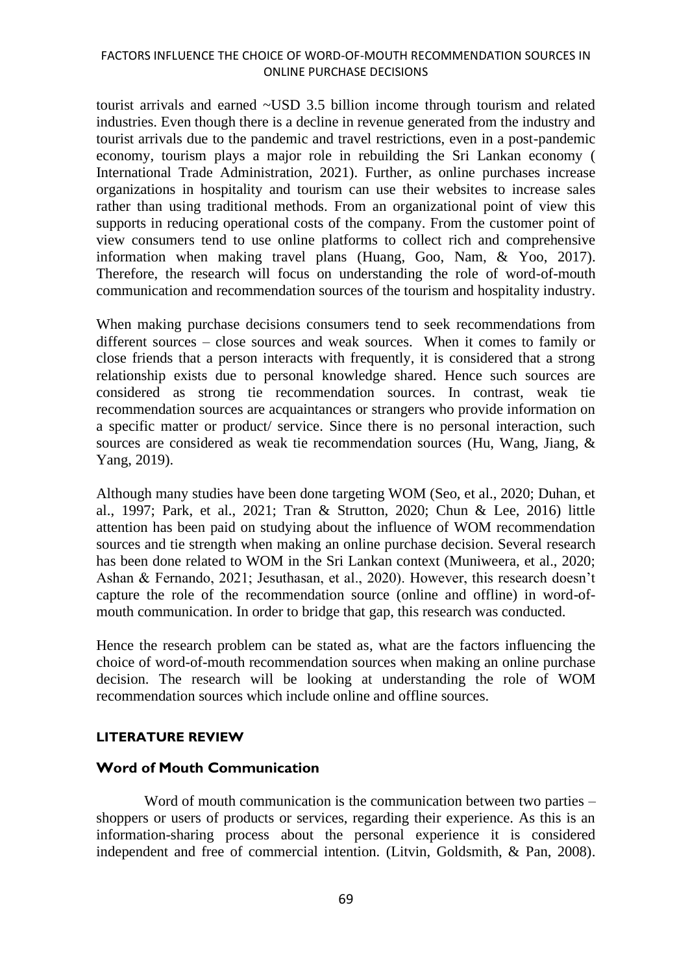#### FACTORS INFLUENCE THE CHOICE OF WORD-OF-MOUTH RECOMMENDATION SOURCES IN ONLINE PURCHASE DECISIONS

tourist arrivals and earned ~USD 3.5 billion income through tourism and related industries. Even though there is a decline in revenue generated from the industry and tourist arrivals due to the pandemic and travel restrictions, even in a post-pandemic economy, tourism plays a major role in rebuilding the Sri Lankan economy ( International Trade Administration, 2021). Further, as online purchases increase organizations in hospitality and tourism can use their websites to increase sales rather than using traditional methods. From an organizational point of view this supports in reducing operational costs of the company. From the customer point of view consumers tend to use online platforms to collect rich and comprehensive information when making travel plans (Huang, Goo, Nam, & Yoo, 2017). Therefore, the research will focus on understanding the role of word-of-mouth communication and recommendation sources of the tourism and hospitality industry.

When making purchase decisions consumers tend to seek recommendations from different sources – close sources and weak sources. When it comes to family or close friends that a person interacts with frequently, it is considered that a strong relationship exists due to personal knowledge shared. Hence such sources are considered as strong tie recommendation sources. In contrast, weak tie recommendation sources are acquaintances or strangers who provide information on a specific matter or product/ service. Since there is no personal interaction, such sources are considered as weak tie recommendation sources (Hu, Wang, Jiang, & Yang, 2019).

Although many studies have been done targeting WOM (Seo, et al., 2020; Duhan, et al., 1997; Park, et al., 2021; Tran & Strutton, 2020; Chun & Lee, 2016) little attention has been paid on studying about the influence of WOM recommendation sources and tie strength when making an online purchase decision. Several research has been done related to WOM in the Sri Lankan context (Muniweera, et al., 2020; Ashan & Fernando, 2021; Jesuthasan, et al., 2020). However, this research doesn't capture the role of the recommendation source (online and offline) in word-ofmouth communication. In order to bridge that gap, this research was conducted.

Hence the research problem can be stated as, what are the factors influencing the choice of word-of-mouth recommendation sources when making an online purchase decision. The research will be looking at understanding the role of WOM recommendation sources which include online and offline sources.

#### **LITERATURE REVIEW**

# **Word of Mouth Communication**

Word of mouth communication is the communication between two parties – shoppers or users of products or services, regarding their experience. As this is an information-sharing process about the personal experience it is considered independent and free of commercial intention. (Litvin, Goldsmith, & Pan, 2008).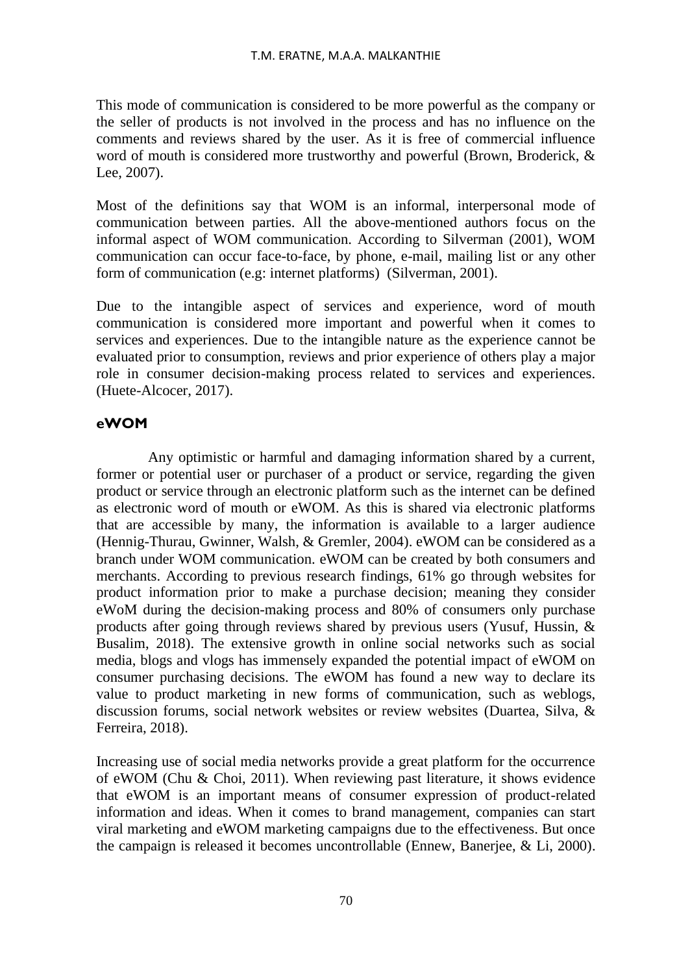This mode of communication is considered to be more powerful as the company or the seller of products is not involved in the process and has no influence on the comments and reviews shared by the user. As it is free of commercial influence word of mouth is considered more trustworthy and powerful (Brown, Broderick, & Lee, 2007).

Most of the definitions say that WOM is an informal, interpersonal mode of communication between parties. All the above-mentioned authors focus on the informal aspect of WOM communication. According to Silverman (2001), WOM communication can occur face-to-face, by phone, e-mail, mailing list or any other form of communication (e.g: internet platforms) (Silverman, 2001).

Due to the intangible aspect of services and experience, word of mouth communication is considered more important and powerful when it comes to services and experiences. Due to the intangible nature as the experience cannot be evaluated prior to consumption, reviews and prior experience of others play a major role in consumer decision-making process related to services and experiences. (Huete-Alcocer, 2017).

# **eWOM**

 Any optimistic or harmful and damaging information shared by a current, former or potential user or purchaser of a product or service, regarding the given product or service through an electronic platform such as the internet can be defined as electronic word of mouth or eWOM. As this is shared via electronic platforms that are accessible by many, the information is available to a larger audience (Hennig-Thurau, Gwinner, Walsh, & Gremler, 2004). eWOM can be considered as a branch under WOM communication. eWOM can be created by both consumers and merchants. According to previous research findings, 61% go through websites for product information prior to make a purchase decision; meaning they consider eWoM during the decision-making process and 80% of consumers only purchase products after going through reviews shared by previous users (Yusuf, Hussin, & Busalim, 2018). The extensive growth in online social networks such as social media, blogs and vlogs has immensely expanded the potential impact of eWOM on consumer purchasing decisions. The eWOM has found a new way to declare its value to product marketing in new forms of communication, such as weblogs, discussion forums, social network websites or review websites (Duartea, Silva, & Ferreira, 2018).

Increasing use of social media networks provide a great platform for the occurrence of eWOM (Chu & Choi, 2011). When reviewing past literature, it shows evidence that eWOM is an important means of consumer expression of product-related information and ideas. When it comes to brand management, companies can start viral marketing and eWOM marketing campaigns due to the effectiveness. But once the campaign is released it becomes uncontrollable (Ennew, Banerjee, & Li, 2000).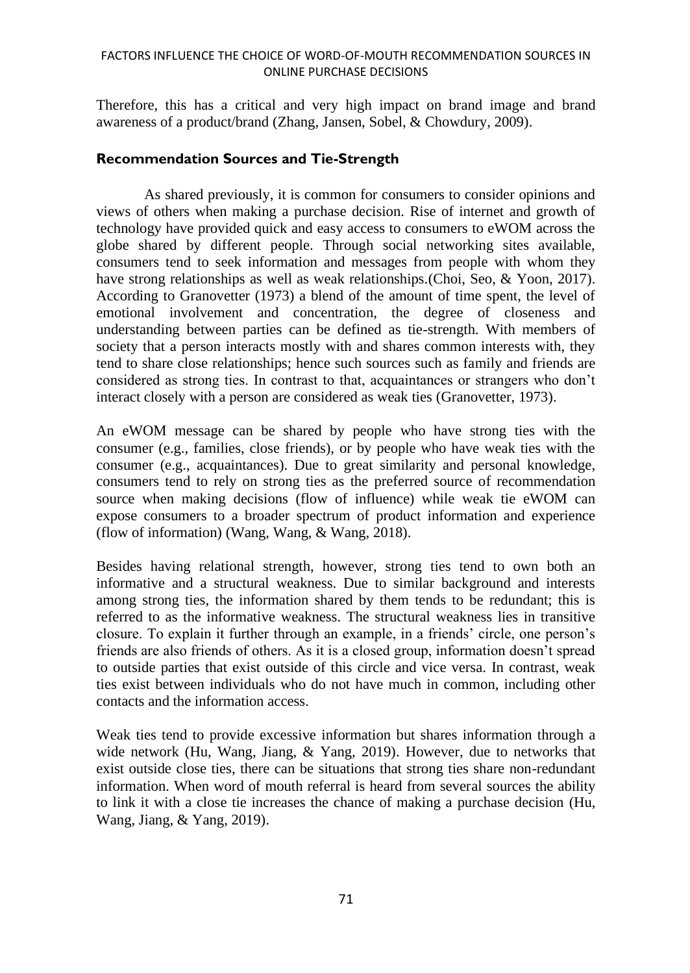### FACTORS INFLUENCE THE CHOICE OF WORD-OF-MOUTH RECOMMENDATION SOURCES IN ONLINE PURCHASE DECISIONS

Therefore, this has a critical and very high impact on brand image and brand awareness of a product/brand (Zhang, Jansen, Sobel, & Chowdury, 2009).

### **Recommendation Sources and Tie-Strength**

As shared previously, it is common for consumers to consider opinions and views of others when making a purchase decision. Rise of internet and growth of technology have provided quick and easy access to consumers to eWOM across the globe shared by different people. Through social networking sites available, consumers tend to seek information and messages from people with whom they have strong relationships as well as weak relationships.(Choi, Seo, & Yoon, 2017). According to Granovetter (1973) a blend of the amount of time spent, the level of emotional involvement and concentration, the degree of closeness and understanding between parties can be defined as tie-strength. With members of society that a person interacts mostly with and shares common interests with, they tend to share close relationships; hence such sources such as family and friends are considered as strong ties. In contrast to that, acquaintances or strangers who don't interact closely with a person are considered as weak ties (Granovetter, 1973).

An eWOM message can be shared by people who have strong ties with the consumer (e.g., families, close friends), or by people who have weak ties with the consumer (e.g., acquaintances). Due to great similarity and personal knowledge, consumers tend to rely on strong ties as the preferred source of recommendation source when making decisions (flow of influence) while weak tie eWOM can expose consumers to a broader spectrum of product information and experience (flow of information) (Wang, Wang, & Wang, 2018).

Besides having relational strength, however, strong ties tend to own both an informative and a structural weakness. Due to similar background and interests among strong ties, the information shared by them tends to be redundant; this is referred to as the informative weakness. The structural weakness lies in transitive closure. To explain it further through an example, in a friends' circle, one person's friends are also friends of others. As it is a closed group, information doesn't spread to outside parties that exist outside of this circle and vice versa. In contrast, weak ties exist between individuals who do not have much in common, including other contacts and the information access.

Weak ties tend to provide excessive information but shares information through a wide network (Hu, Wang, Jiang, & Yang, 2019). However, due to networks that exist outside close ties, there can be situations that strong ties share non-redundant information. When word of mouth referral is heard from several sources the ability to link it with a close tie increases the chance of making a purchase decision (Hu, Wang, Jiang, & Yang, 2019).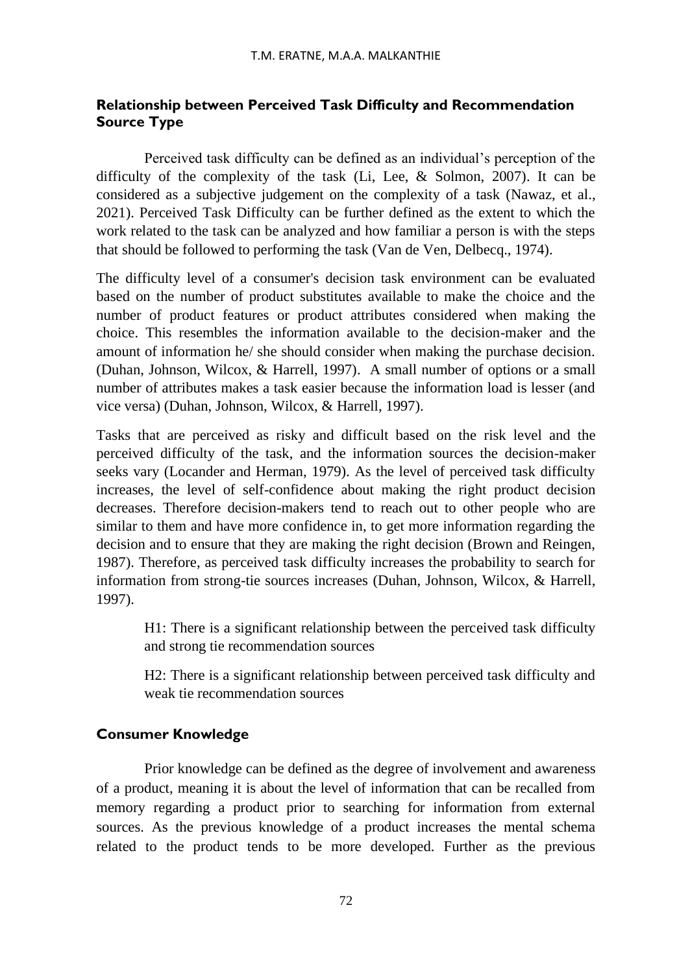# **Relationship between Perceived Task Difficulty and Recommendation Source Type**

Perceived task difficulty can be defined as an individual's perception of the difficulty of the complexity of the task (Li, Lee, & Solmon, 2007). It can be considered as a subjective judgement on the complexity of a task (Nawaz, et al., 2021). Perceived Task Difficulty can be further defined as the extent to which the work related to the task can be analyzed and how familiar a person is with the steps that should be followed to performing the task (Van de Ven, Delbecq., 1974).

The difficulty level of a consumer's decision task environment can be evaluated based on the number of product substitutes available to make the choice and the number of product features or product attributes considered when making the choice. This resembles the information available to the decision-maker and the amount of information he/ she should consider when making the purchase decision. (Duhan, Johnson, Wilcox, & Harrell, 1997). A small number of options or a small number of attributes makes a task easier because the information load is lesser (and vice versa) (Duhan, Johnson, Wilcox, & Harrell, 1997).

Tasks that are perceived as risky and difficult based on the risk level and the perceived difficulty of the task, and the information sources the decision-maker seeks vary (Locander and Herman, 1979). As the level of perceived task difficulty increases, the level of self-confidence about making the right product decision decreases. Therefore decision-makers tend to reach out to other people who are similar to them and have more confidence in, to get more information regarding the decision and to ensure that they are making the right decision (Brown and Reingen, 1987). Therefore, as perceived task difficulty increases the probability to search for information from strong-tie sources increases (Duhan, Johnson, Wilcox, & Harrell, 1997).

H1: There is a significant relationship between the perceived task difficulty and strong tie recommendation sources

H2: There is a significant relationship between perceived task difficulty and weak tie recommendation sources

# **Consumer Knowledge**

Prior knowledge can be defined as the degree of involvement and awareness of a product, meaning it is about the level of information that can be recalled from memory regarding a product prior to searching for information from external sources. As the previous knowledge of a product increases the mental schema related to the product tends to be more developed. Further as the previous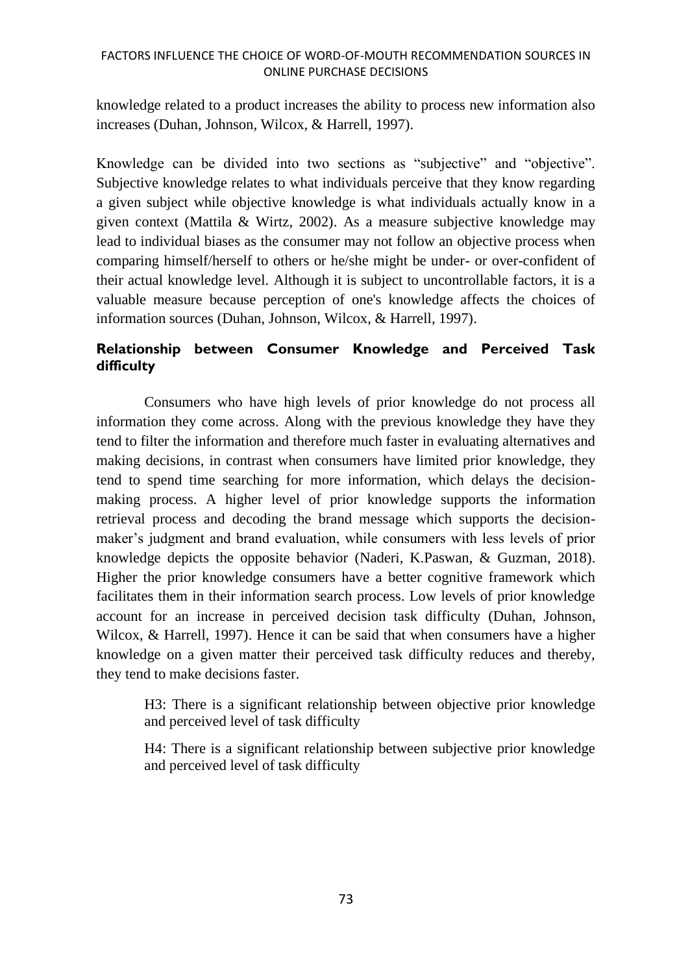### FACTORS INFLUENCE THE CHOICE OF WORD-OF-MOUTH RECOMMENDATION SOURCES IN ONLINE PURCHASE DECISIONS

knowledge related to a product increases the ability to process new information also increases (Duhan, Johnson, Wilcox, & Harrell, 1997).

Knowledge can be divided into two sections as "subjective" and "objective". Subjective knowledge relates to what individuals perceive that they know regarding a given subject while objective knowledge is what individuals actually know in a given context (Mattila & Wirtz, 2002). As a measure subjective knowledge may lead to individual biases as the consumer may not follow an objective process when comparing himself/herself to others or he/she might be under- or over-confident of their actual knowledge level. Although it is subject to uncontrollable factors, it is a valuable measure because perception of one's knowledge affects the choices of information sources (Duhan, Johnson, Wilcox, & Harrell, 1997).

# **Relationship between Consumer Knowledge and Perceived Task difficulty**

Consumers who have high levels of prior knowledge do not process all information they come across. Along with the previous knowledge they have they tend to filter the information and therefore much faster in evaluating alternatives and making decisions, in contrast when consumers have limited prior knowledge, they tend to spend time searching for more information, which delays the decisionmaking process. A higher level of prior knowledge supports the information retrieval process and decoding the brand message which supports the decisionmaker's judgment and brand evaluation, while consumers with less levels of prior knowledge depicts the opposite behavior (Naderi, K.Paswan, & Guzman, 2018). Higher the prior knowledge consumers have a better cognitive framework which facilitates them in their information search process. Low levels of prior knowledge account for an increase in perceived decision task difficulty (Duhan, Johnson, Wilcox, & Harrell, 1997). Hence it can be said that when consumers have a higher knowledge on a given matter their perceived task difficulty reduces and thereby, they tend to make decisions faster.

H3: There is a significant relationship between objective prior knowledge and perceived level of task difficulty

H4: There is a significant relationship between subjective prior knowledge and perceived level of task difficulty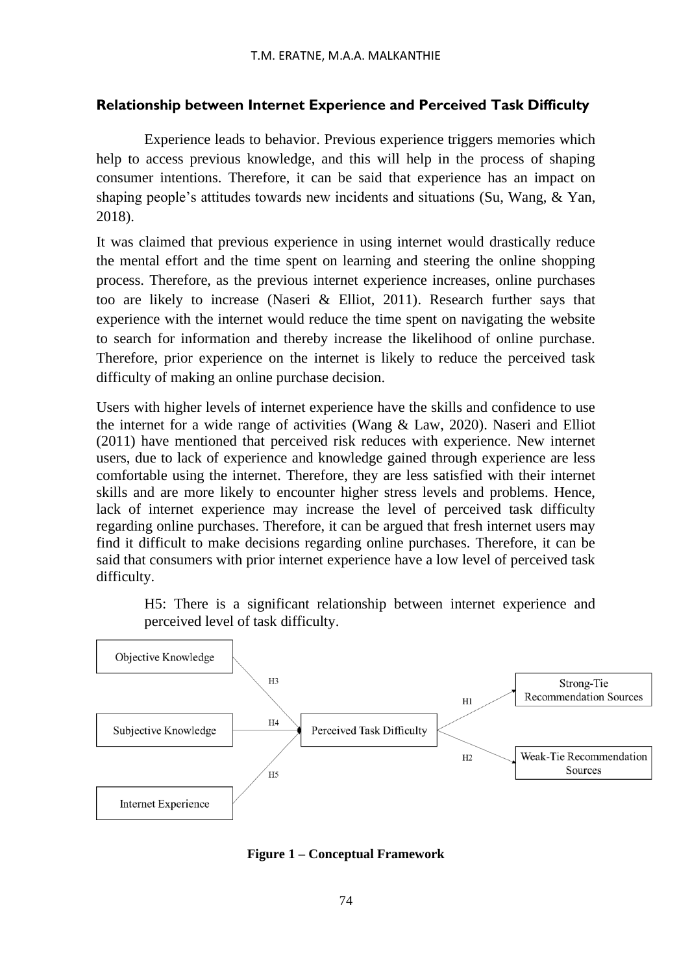# **Relationship between Internet Experience and Perceived Task Difficulty**

Experience leads to behavior. Previous experience triggers memories which help to access previous knowledge, and this will help in the process of shaping consumer intentions. Therefore, it can be said that experience has an impact on shaping people's attitudes towards new incidents and situations (Su, Wang, & Yan, 2018).

It was claimed that previous experience in using internet would drastically reduce the mental effort and the time spent on learning and steering the online shopping process. Therefore, as the previous internet experience increases, online purchases too are likely to increase (Naseri & Elliot, 2011). Research further says that experience with the internet would reduce the time spent on navigating the website to search for information and thereby increase the likelihood of online purchase. Therefore, prior experience on the internet is likely to reduce the perceived task difficulty of making an online purchase decision.

Users with higher levels of internet experience have the skills and confidence to use the internet for a wide range of activities (Wang & Law, 2020). Naseri and Elliot (2011) have mentioned that perceived risk reduces with experience. New internet users, due to lack of experience and knowledge gained through experience are less comfortable using the internet. Therefore, they are less satisfied with their internet skills and are more likely to encounter higher stress levels and problems. Hence, lack of internet experience may increase the level of perceived task difficulty regarding online purchases. Therefore, it can be argued that fresh internet users may find it difficult to make decisions regarding online purchases. Therefore, it can be said that consumers with prior internet experience have a low level of perceived task difficulty.

H5: There is a significant relationship between internet experience and perceived level of task difficulty.



**Figure 1 – Conceptual Framework**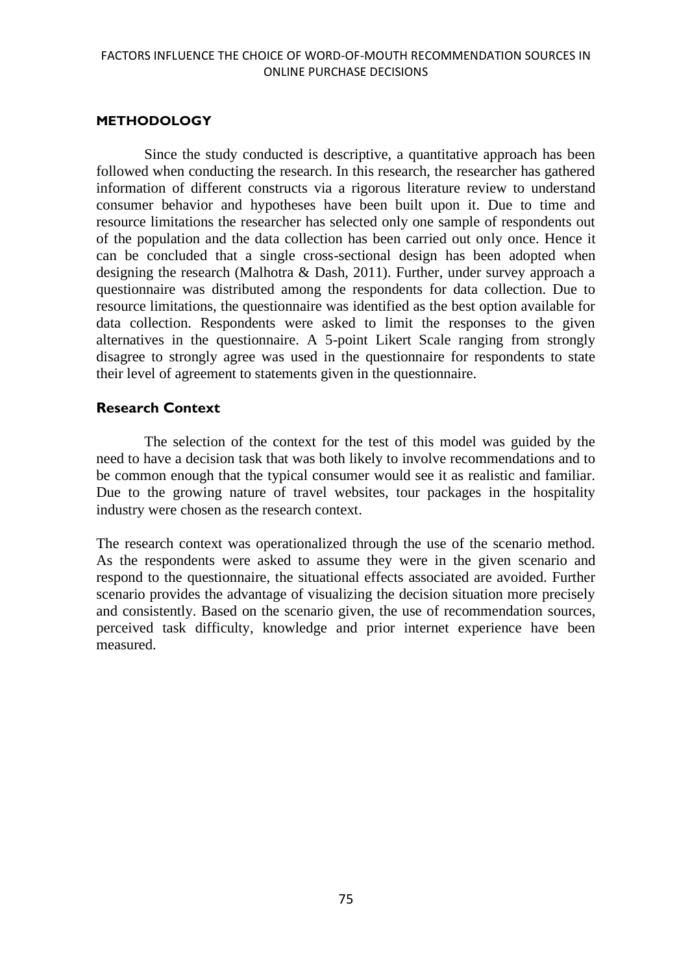### **METHODOLOGY**

Since the study conducted is descriptive, a quantitative approach has been followed when conducting the research. In this research, the researcher has gathered information of different constructs via a rigorous literature review to understand consumer behavior and hypotheses have been built upon it. Due to time and resource limitations the researcher has selected only one sample of respondents out of the population and the data collection has been carried out only once. Hence it can be concluded that a single cross-sectional design has been adopted when designing the research (Malhotra & Dash, 2011). Further, under survey approach a questionnaire was distributed among the respondents for data collection. Due to resource limitations, the questionnaire was identified as the best option available for data collection. Respondents were asked to limit the responses to the given alternatives in the questionnaire. A 5-point Likert Scale ranging from strongly disagree to strongly agree was used in the questionnaire for respondents to state their level of agreement to statements given in the questionnaire.

# **Research Context**

The selection of the context for the test of this model was guided by the need to have a decision task that was both likely to involve recommendations and to be common enough that the typical consumer would see it as realistic and familiar. Due to the growing nature of travel websites, tour packages in the hospitality industry were chosen as the research context.

The research context was operationalized through the use of the scenario method. As the respondents were asked to assume they were in the given scenario and respond to the questionnaire, the situational effects associated are avoided. Further scenario provides the advantage of visualizing the decision situation more precisely and consistently. Based on the scenario given, the use of recommendation sources, perceived task difficulty, knowledge and prior internet experience have been measured.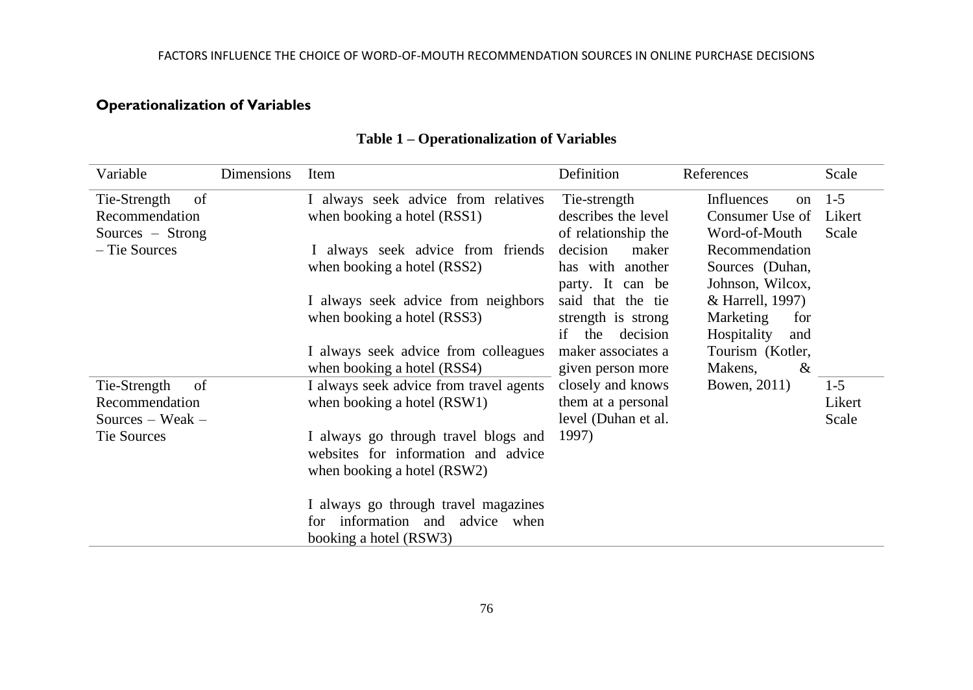# **Operationalization of Variables**

| Variable           | Dimensions | Item                                                                        | Definition            | References                  | Scale   |
|--------------------|------------|-----------------------------------------------------------------------------|-----------------------|-----------------------------|---------|
| Tie-Strength<br>of |            | I always seek advice from relatives                                         | Tie-strength          | Influences<br><sub>on</sub> | $1-5$   |
| Recommendation     |            | when booking a hotel (RSS1)                                                 | describes the level   | Consumer Use of             | Likert  |
| Sources – Strong   |            |                                                                             | of relationship the   | Word-of-Mouth               | Scale   |
| – Tie Sources      |            | I always seek advice from friends                                           | decision<br>maker     | Recommendation              |         |
|                    |            | when booking a hotel (RSS2)                                                 | has with another      | Sources (Duhan,             |         |
|                    |            |                                                                             | party. It can be      | Johnson, Wilcox,            |         |
|                    |            | I always seek advice from neighbors                                         | said that the tie     | & Harrell, 1997)            |         |
|                    |            | when booking a hotel (RSS3)                                                 | strength is strong    | Marketing<br>for            |         |
|                    |            |                                                                             | the<br>decision<br>if | Hospitality<br>and          |         |
|                    |            | I always seek advice from colleagues                                        | maker associates a    | Tourism (Kotler,            |         |
|                    |            | when booking a hotel (RSS4)                                                 | given person more     | Makens,<br>&                |         |
| Tie-Strength<br>of |            | I always seek advice from travel agents                                     | closely and knows     | Bowen, 2011)                | $1 - 5$ |
| Recommendation     |            | when booking a hotel (RSW1)                                                 | them at a personal    |                             | Likert  |
| Sources – Weak –   |            |                                                                             | level (Duhan et al.   |                             | Scale   |
| Tie Sources        |            | I always go through travel blogs and<br>websites for information and advice | 1997)                 |                             |         |
|                    |            |                                                                             |                       |                             |         |
|                    |            | when booking a hotel (RSW2)                                                 |                       |                             |         |
|                    |            | I always go through travel magazines                                        |                       |                             |         |
|                    |            | information and<br>advice when<br>for                                       |                       |                             |         |
|                    |            | booking a hotel (RSW3)                                                      |                       |                             |         |

# **Table 1 – Operationalization of Variables**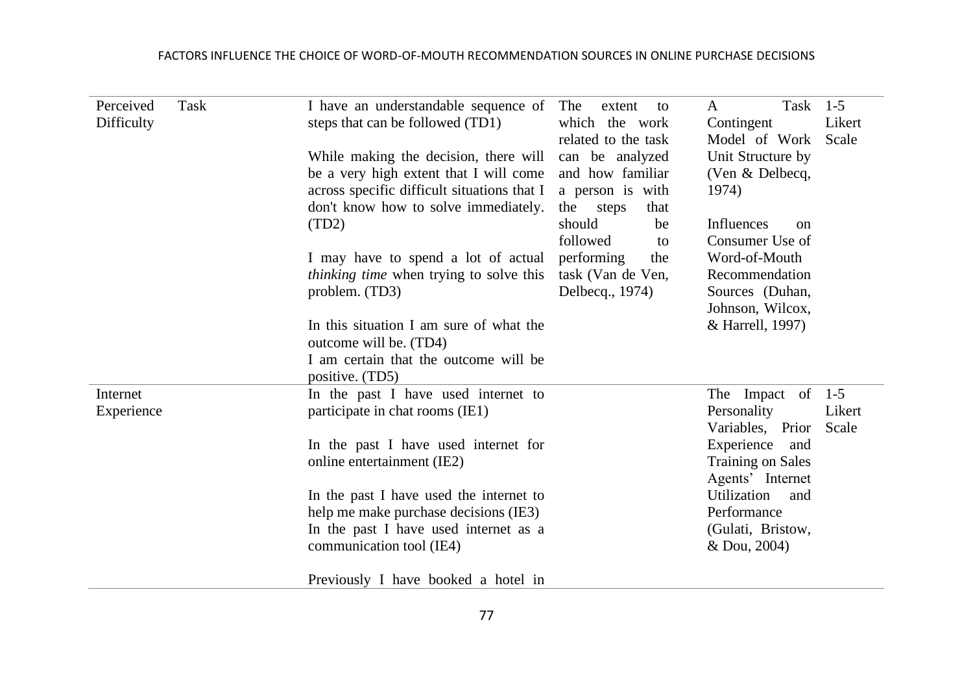| Perceived<br>Difficulty | Task | I have an understandable sequence of<br>steps that can be followed (TD1)                                                       | The<br>extent<br>to<br>which the work                                          | Task<br>A<br>Contingent                                           | $1-5$<br>Likert            |
|-------------------------|------|--------------------------------------------------------------------------------------------------------------------------------|--------------------------------------------------------------------------------|-------------------------------------------------------------------|----------------------------|
|                         |      | While making the decision, there will<br>be a very high extent that I will come<br>across specific difficult situations that I | related to the task<br>can be analyzed<br>and how familiar<br>a person is with | Model of Work<br>Unit Structure by<br>(Ven & Delbecq,<br>1974)    | Scale                      |
|                         |      | don't know how to solve immediately.<br>(TD2)                                                                                  | the<br>that<br>steps<br>should<br>be<br>followed<br>to                         | Influences<br><sub>on</sub><br>Consumer Use of                    |                            |
|                         |      | I may have to spend a lot of actual<br><i>thinking time</i> when trying to solve this<br>problem. (TD3)                        | performing<br>the<br>task (Van de Ven,<br>Delbecq., 1974)                      | Word-of-Mouth<br>Recommendation<br>Sources (Duhan,                |                            |
|                         |      | In this situation I am sure of what the<br>outcome will be. (TD4)                                                              |                                                                                | Johnson, Wilcox,<br>& Harrell, 1997)                              |                            |
|                         |      | I am certain that the outcome will be<br>positive. (TD5)                                                                       |                                                                                |                                                                   |                            |
| Internet<br>Experience  |      | In the past I have used internet to<br>participate in chat rooms (IE1)                                                         |                                                                                | The Impact<br>of<br>Personality<br>Variables, Prior               | $1 - 5$<br>Likert<br>Scale |
|                         |      | In the past I have used internet for<br>online entertainment (IE2)                                                             |                                                                                | Experience<br>and<br><b>Training on Sales</b><br>Agents' Internet |                            |
|                         |      | In the past I have used the internet to                                                                                        |                                                                                | Utilization<br>and                                                |                            |
|                         |      | help me make purchase decisions (IE3)<br>In the past I have used internet as a                                                 |                                                                                | Performance<br>(Gulati, Bristow,                                  |                            |
|                         |      | communication tool (IE4)                                                                                                       |                                                                                | & Dou, 2004)                                                      |                            |
|                         |      | Previously I have booked a hotel in                                                                                            |                                                                                |                                                                   |                            |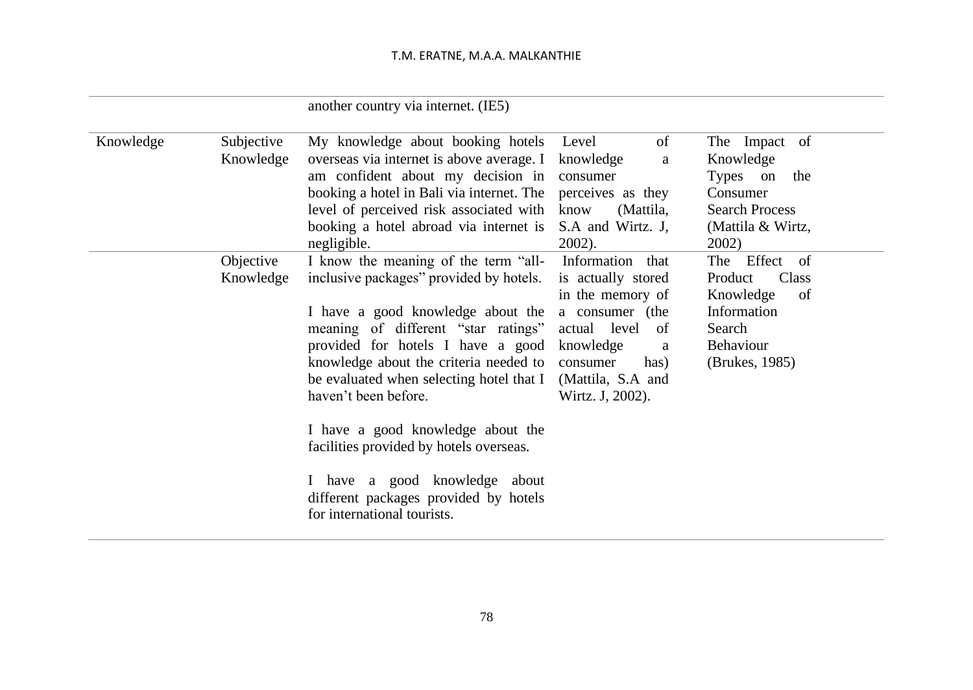# T.M. ERATNE, M.A.A. MALKANTHIE

|           |                         | another country via internet. (IE5)                                                                                                                                                                                                                                                                                                                                                                                                                                                                     |                                                                                                                                                                                       |                                                                                                                  |
|-----------|-------------------------|---------------------------------------------------------------------------------------------------------------------------------------------------------------------------------------------------------------------------------------------------------------------------------------------------------------------------------------------------------------------------------------------------------------------------------------------------------------------------------------------------------|---------------------------------------------------------------------------------------------------------------------------------------------------------------------------------------|------------------------------------------------------------------------------------------------------------------|
| Knowledge | Subjective<br>Knowledge | My knowledge about booking hotels<br>overseas via internet is above average. I<br>am confident about my decision in<br>booking a hotel in Bali via internet. The<br>level of perceived risk associated with<br>booking a hotel abroad via internet is<br>negligible.                                                                                                                                                                                                                                    | of<br>Level<br>knowledge<br>a<br>consumer<br>perceives as they<br>(Mattila,<br>know<br>S.A and Wirtz. J.<br>2002).                                                                    | The Impact of<br>Knowledge<br>Types on<br>the<br>Consumer<br><b>Search Process</b><br>(Mattila & Wirtz,<br>2002) |
|           | Objective<br>Knowledge  | I know the meaning of the term "all-<br>inclusive packages" provided by hotels.<br>I have a good knowledge about the<br>meaning of different "star ratings"<br>provided for hotels I have a good<br>knowledge about the criteria needed to<br>be evaluated when selecting hotel that I<br>haven't been before.<br>I have a good knowledge about the<br>facilities provided by hotels overseas.<br>I have a good knowledge about<br>different packages provided by hotels<br>for international tourists. | Information that<br>is actually stored<br>in the memory of<br>a consumer (the<br>level<br>actual<br>of<br>knowledge<br>a<br>consumer<br>has)<br>(Mattila, S.A and<br>Wirtz. J, 2002). | Effect of<br>The<br>Class<br>Product<br>Knowledge<br>of<br>Information<br>Search<br>Behaviour<br>(Brukes, 1985)  |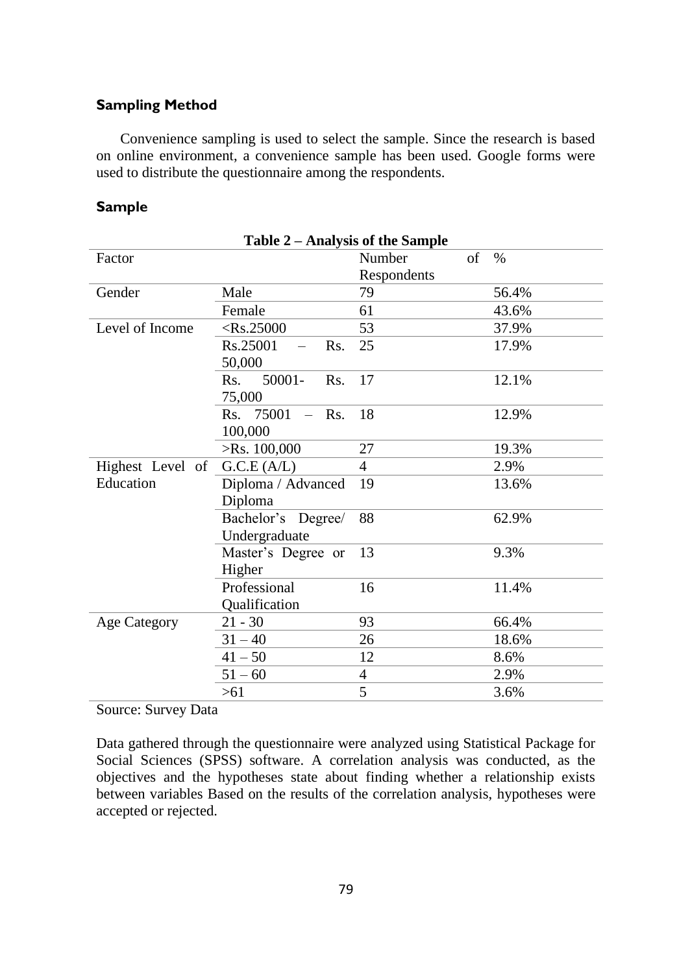# **Sampling Method**

Convenience sampling is used to select the sample. Since the research is based on online environment, a convenience sample has been used. Google forms were used to distribute the questionnaire among the respondents.

#### **Sample**

| Table 2 – Analysis of the Sample |                                       |             |    |       |  |  |
|----------------------------------|---------------------------------------|-------------|----|-------|--|--|
| Factor                           |                                       | Number      | of | $\%$  |  |  |
|                                  |                                       | Respondents |    |       |  |  |
| Gender                           | Male                                  | 79          |    | 56.4% |  |  |
|                                  | Female                                | 61          |    | 43.6% |  |  |
| Level of Income                  | $<$ Rs.25000                          | 53          |    | 37.9% |  |  |
|                                  | Rs.25001<br>Rs.                       | 25          |    | 17.9% |  |  |
|                                  | 50,000                                |             |    |       |  |  |
|                                  | $50001 -$<br>Rs.<br>Rs.               | 17          |    | 12.1% |  |  |
|                                  | 75,000                                |             |    |       |  |  |
|                                  | Rs. 75001<br>Rs.<br>$\qquad \qquad -$ | 18          |    | 12.9% |  |  |
|                                  | 100,000                               |             |    |       |  |  |
|                                  | $>$ Rs. 100,000                       | 27          |    | 19.3% |  |  |
| Highest Level of                 | G.C.E (A/L)                           | 4           |    | 2.9%  |  |  |
| Education                        | Diploma / Advanced                    | 19          |    | 13.6% |  |  |
|                                  | Diploma                               |             |    |       |  |  |
|                                  | Bachelor's Degree/                    | 88          |    | 62.9% |  |  |
|                                  | Undergraduate                         |             |    |       |  |  |
|                                  | Master's Degree or                    | 13          |    | 9.3%  |  |  |
|                                  | Higher                                |             |    |       |  |  |
|                                  | Professional                          | 16          |    | 11.4% |  |  |
|                                  | Qualification                         |             |    |       |  |  |
| <b>Age Category</b>              | $21 - 30$                             | 93          |    | 66.4% |  |  |
|                                  | $31 - 40$                             | 26          |    | 18.6% |  |  |
|                                  | $41 - 50$                             | 12          |    | 8.6%  |  |  |
|                                  | $51 - 60$                             | 4           |    | 2.9%  |  |  |
|                                  | >61                                   | 5           |    | 3.6%  |  |  |

Source: Survey Data

Data gathered through the questionnaire were analyzed using Statistical Package for Social Sciences (SPSS) software. A correlation analysis was conducted, as the objectives and the hypotheses state about finding whether a relationship exists between variables Based on the results of the correlation analysis, hypotheses were accepted or rejected.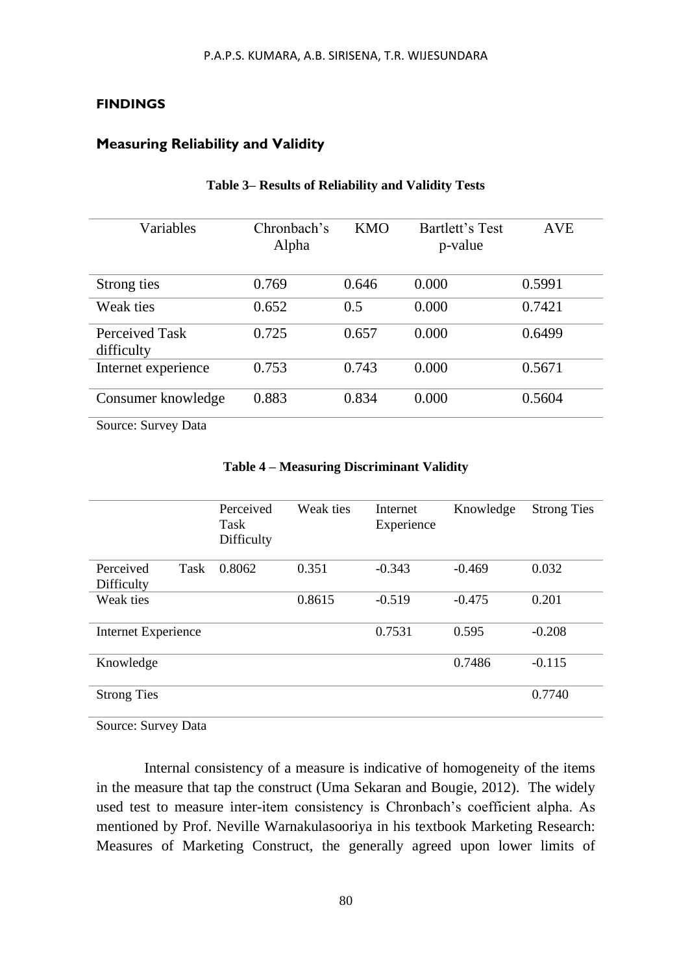#### **FINDINGS**

# **Measuring Reliability and Validity**

| Variables                    | Chronbach's<br>Alpha | <b>KMO</b> | Bartlett's Test<br>p-value | <b>AVE</b> |
|------------------------------|----------------------|------------|----------------------------|------------|
| Strong ties                  | 0.769                | 0.646      | 0.000                      | 0.5991     |
| Weak ties                    | 0.652                | 0.5        | 0.000                      | 0.7421     |
| Perceived Task<br>difficulty | 0.725                | 0.657      | 0.000                      | 0.6499     |
| Internet experience          | 0.753                | 0.743      | 0.000                      | 0.5671     |
| Consumer knowledge           | 0.883                | 0.834      | 0.000                      | 0.5604     |

#### **Table 3– Results of Reliability and Validity Tests**

Source: Survey Data

|                     |      | Perceived<br>Task<br>Difficulty | Weak ties | Internet<br>Experience | Knowledge | <b>Strong Ties</b> |
|---------------------|------|---------------------------------|-----------|------------------------|-----------|--------------------|
| Perceived           | Task | 0.8062                          | 0.351     | $-0.343$               | $-0.469$  | 0.032              |
| Difficulty          |      |                                 |           |                        |           |                    |
| Weak ties           |      |                                 | 0.8615    | $-0.519$               | $-0.475$  | 0.201              |
|                     |      |                                 |           |                        |           |                    |
| Internet Experience |      |                                 |           | 0.7531                 | 0.595     | $-0.208$           |
|                     |      |                                 |           |                        |           |                    |
| Knowledge           |      |                                 |           |                        | 0.7486    | $-0.115$           |
|                     |      |                                 |           |                        |           |                    |
| <b>Strong Ties</b>  |      |                                 |           |                        |           | 0.7740             |
|                     |      |                                 |           |                        |           |                    |

#### **Table 4 – Measuring Discriminant Validity**

Source: Survey Data

Internal consistency of a measure is indicative of homogeneity of the items in the measure that tap the construct (Uma Sekaran and Bougie, 2012). The widely used test to measure inter-item consistency is Chronbach's coefficient alpha. As mentioned by Prof. Neville Warnakulasooriya in his textbook Marketing Research: Measures of Marketing Construct, the generally agreed upon lower limits of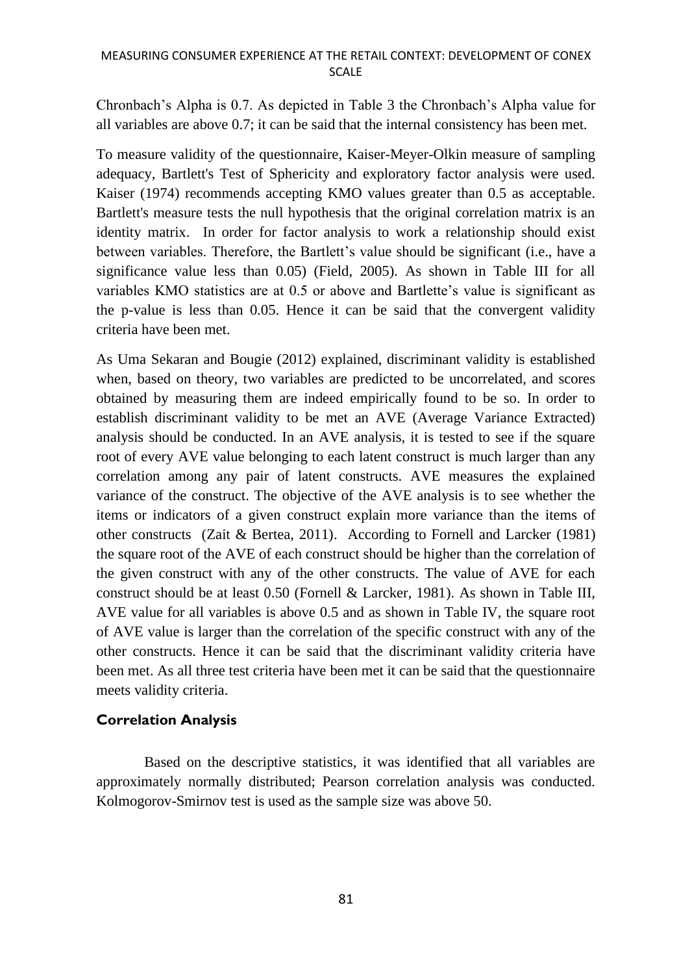### MEASURING CONSUMER EXPERIENCE AT THE RETAIL CONTEXT: DEVELOPMENT OF CONEX SCALE

Chronbach's Alpha is 0.7. As depicted in Table 3 the Chronbach's Alpha value for all variables are above 0.7; it can be said that the internal consistency has been met.

To measure validity of the questionnaire, Kaiser-Meyer-Olkin measure of sampling adequacy, Bartlett's Test of Sphericity and exploratory factor analysis were used. Kaiser (1974) recommends accepting KMO values greater than 0.5 as acceptable. Bartlett's measure tests the null hypothesis that the original correlation matrix is an identity matrix. In order for factor analysis to work a relationship should exist between variables. Therefore, the Bartlett's value should be significant (i.e., have a significance value less than 0.05) (Field, 2005). As shown in Table III for all variables KMO statistics are at 0.5 or above and Bartlette's value is significant as the p-value is less than 0.05. Hence it can be said that the convergent validity criteria have been met.

As Uma Sekaran and Bougie (2012) explained, discriminant validity is established when, based on theory, two variables are predicted to be uncorrelated, and scores obtained by measuring them are indeed empirically found to be so. In order to establish discriminant validity to be met an AVE (Average Variance Extracted) analysis should be conducted. In an AVE analysis, it is tested to see if the square root of every AVE value belonging to each latent construct is much larger than any correlation among any pair of latent constructs. AVE measures the explained variance of the construct. The objective of the AVE analysis is to see whether the items or indicators of a given construct explain more variance than the items of other constructs (Zait & Bertea, 2011). According to Fornell and Larcker (1981) the square root of the AVE of each construct should be higher than the correlation of the given construct with any of the other constructs. The value of AVE for each construct should be at least 0.50 (Fornell & Larcker, 1981). As shown in Table III, AVE value for all variables is above 0.5 and as shown in Table IV, the square root of AVE value is larger than the correlation of the specific construct with any of the other constructs. Hence it can be said that the discriminant validity criteria have been met. As all three test criteria have been met it can be said that the questionnaire meets validity criteria.

# **Correlation Analysis**

Based on the descriptive statistics, it was identified that all variables are approximately normally distributed; Pearson correlation analysis was conducted. Kolmogorov-Smirnov test is used as the sample size was above 50.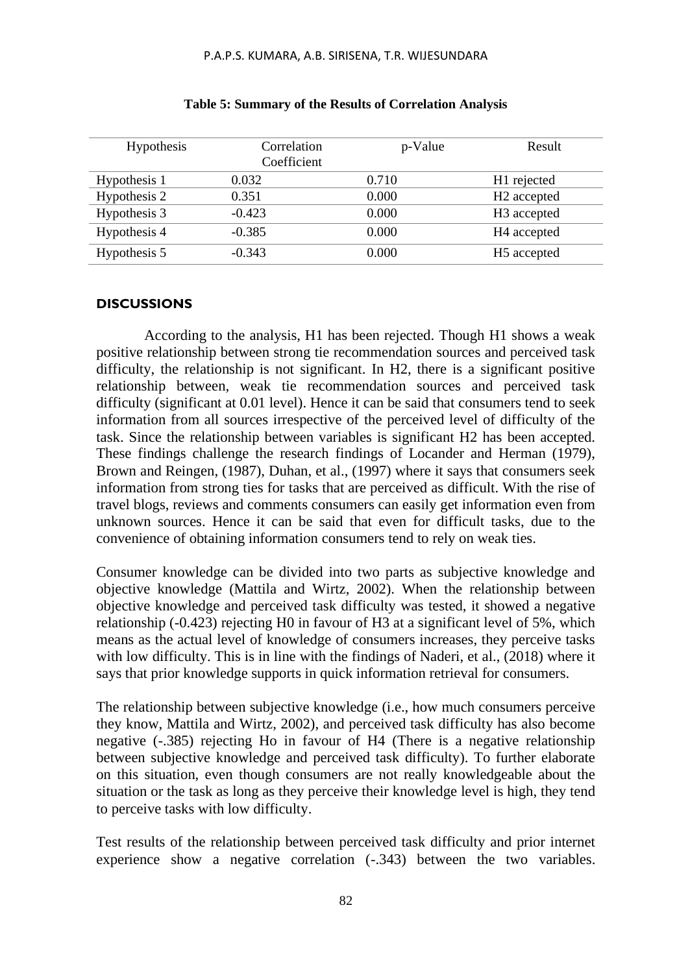| <b>Hypothesis</b> | Correlation<br>Coefficient | p-Value | Result                  |
|-------------------|----------------------------|---------|-------------------------|
| Hypothesis 1      | 0.032                      | 0.710   | H <sub>1</sub> rejected |
| Hypothesis 2      | 0.351                      | 0.000   | H <sub>2</sub> accepted |
| Hypothesis 3      | $-0.423$                   | 0.000   | H <sub>3</sub> accepted |
| Hypothesis 4      | $-0.385$                   | 0.000   | H <sub>4</sub> accepted |
| Hypothesis 5      | $-0.343$                   | 0.000   | H <sub>5</sub> accepted |

#### **Table 5: Summary of the Results of Correlation Analysis**

#### **DISCUSSIONS**

According to the analysis, H1 has been rejected. Though H1 shows a weak positive relationship between strong tie recommendation sources and perceived task difficulty, the relationship is not significant. In H2, there is a significant positive relationship between, weak tie recommendation sources and perceived task difficulty (significant at 0.01 level). Hence it can be said that consumers tend to seek information from all sources irrespective of the perceived level of difficulty of the task. Since the relationship between variables is significant H2 has been accepted. These findings challenge the research findings of Locander and Herman (1979), Brown and Reingen, (1987), Duhan, et al., (1997) where it says that consumers seek information from strong ties for tasks that are perceived as difficult. With the rise of travel blogs, reviews and comments consumers can easily get information even from unknown sources. Hence it can be said that even for difficult tasks, due to the convenience of obtaining information consumers tend to rely on weak ties.

Consumer knowledge can be divided into two parts as subjective knowledge and objective knowledge (Mattila and Wirtz, 2002). When the relationship between objective knowledge and perceived task difficulty was tested, it showed a negative relationship (-0.423) rejecting H0 in favour of H3 at a significant level of 5%, which means as the actual level of knowledge of consumers increases, they perceive tasks with low difficulty. This is in line with the findings of Naderi, et al., (2018) where it says that prior knowledge supports in quick information retrieval for consumers.

The relationship between subjective knowledge (i.e., how much consumers perceive they know, Mattila and Wirtz, 2002), and perceived task difficulty has also become negative (-.385) rejecting Ho in favour of H4 (There is a negative relationship between subjective knowledge and perceived task difficulty). To further elaborate on this situation, even though consumers are not really knowledgeable about the situation or the task as long as they perceive their knowledge level is high, they tend to perceive tasks with low difficulty.

Test results of the relationship between perceived task difficulty and prior internet experience show a negative correlation  $(-.343)$  between the two variables.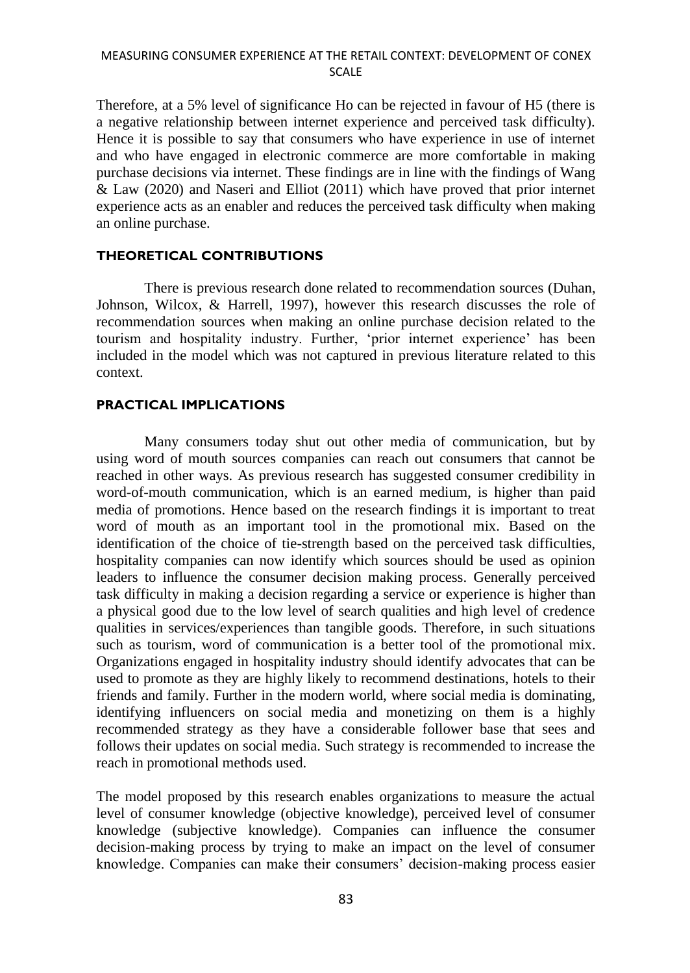Therefore, at a 5% level of significance Ho can be rejected in favour of H5 (there is a negative relationship between internet experience and perceived task difficulty). Hence it is possible to say that consumers who have experience in use of internet and who have engaged in electronic commerce are more comfortable in making purchase decisions via internet. These findings are in line with the findings of Wang & Law (2020) and Naseri and Elliot (2011) which have proved that prior internet experience acts as an enabler and reduces the perceived task difficulty when making an online purchase.

### **THEORETICAL CONTRIBUTIONS**

There is previous research done related to recommendation sources (Duhan, Johnson, Wilcox, & Harrell, 1997), however this research discusses the role of recommendation sources when making an online purchase decision related to the tourism and hospitality industry. Further, 'prior internet experience' has been included in the model which was not captured in previous literature related to this context.

#### **PRACTICAL IMPLICATIONS**

Many consumers today shut out other media of communication, but by using word of mouth sources companies can reach out consumers that cannot be reached in other ways. As previous research has suggested consumer credibility in word-of-mouth communication, which is an earned medium, is higher than paid media of promotions. Hence based on the research findings it is important to treat word of mouth as an important tool in the promotional mix. Based on the identification of the choice of tie-strength based on the perceived task difficulties, hospitality companies can now identify which sources should be used as opinion leaders to influence the consumer decision making process. Generally perceived task difficulty in making a decision regarding a service or experience is higher than a physical good due to the low level of search qualities and high level of credence qualities in services/experiences than tangible goods. Therefore, in such situations such as tourism, word of communication is a better tool of the promotional mix. Organizations engaged in hospitality industry should identify advocates that can be used to promote as they are highly likely to recommend destinations, hotels to their friends and family. Further in the modern world, where social media is dominating, identifying influencers on social media and monetizing on them is a highly recommended strategy as they have a considerable follower base that sees and follows their updates on social media. Such strategy is recommended to increase the reach in promotional methods used.

The model proposed by this research enables organizations to measure the actual level of consumer knowledge (objective knowledge), perceived level of consumer knowledge (subjective knowledge). Companies can influence the consumer decision-making process by trying to make an impact on the level of consumer knowledge. Companies can make their consumers' decision-making process easier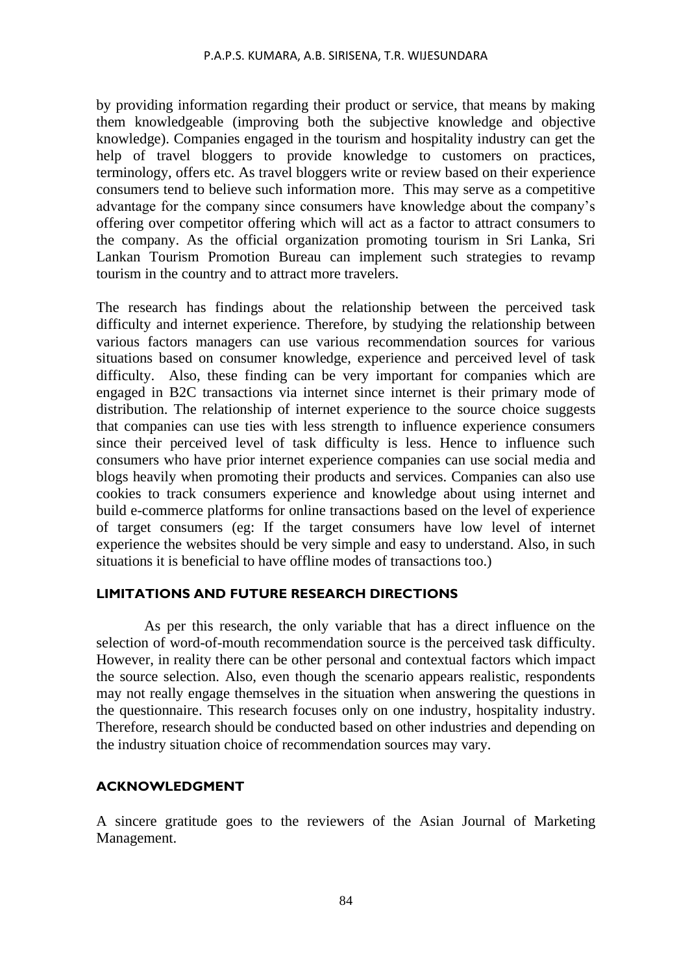by providing information regarding their product or service, that means by making them knowledgeable (improving both the subjective knowledge and objective knowledge). Companies engaged in the tourism and hospitality industry can get the help of travel bloggers to provide knowledge to customers on practices, terminology, offers etc. As travel bloggers write or review based on their experience consumers tend to believe such information more. This may serve as a competitive advantage for the company since consumers have knowledge about the company's offering over competitor offering which will act as a factor to attract consumers to the company. As the official organization promoting tourism in Sri Lanka, Sri Lankan Tourism Promotion Bureau can implement such strategies to revamp tourism in the country and to attract more travelers.

The research has findings about the relationship between the perceived task difficulty and internet experience. Therefore, by studying the relationship between various factors managers can use various recommendation sources for various situations based on consumer knowledge, experience and perceived level of task difficulty. Also, these finding can be very important for companies which are engaged in B2C transactions via internet since internet is their primary mode of distribution. The relationship of internet experience to the source choice suggests that companies can use ties with less strength to influence experience consumers since their perceived level of task difficulty is less. Hence to influence such consumers who have prior internet experience companies can use social media and blogs heavily when promoting their products and services. Companies can also use cookies to track consumers experience and knowledge about using internet and build e-commerce platforms for online transactions based on the level of experience of target consumers (eg: If the target consumers have low level of internet experience the websites should be very simple and easy to understand. Also, in such situations it is beneficial to have offline modes of transactions too.)

#### **LIMITATIONS AND FUTURE RESEARCH DIRECTIONS**

As per this research, the only variable that has a direct influence on the selection of word-of-mouth recommendation source is the perceived task difficulty. However, in reality there can be other personal and contextual factors which impact the source selection. Also, even though the scenario appears realistic, respondents may not really engage themselves in the situation when answering the questions in the questionnaire. This research focuses only on one industry, hospitality industry. Therefore, research should be conducted based on other industries and depending on the industry situation choice of recommendation sources may vary.

#### **ACKNOWLEDGMENT**

A sincere gratitude goes to the reviewers of the Asian Journal of Marketing Management.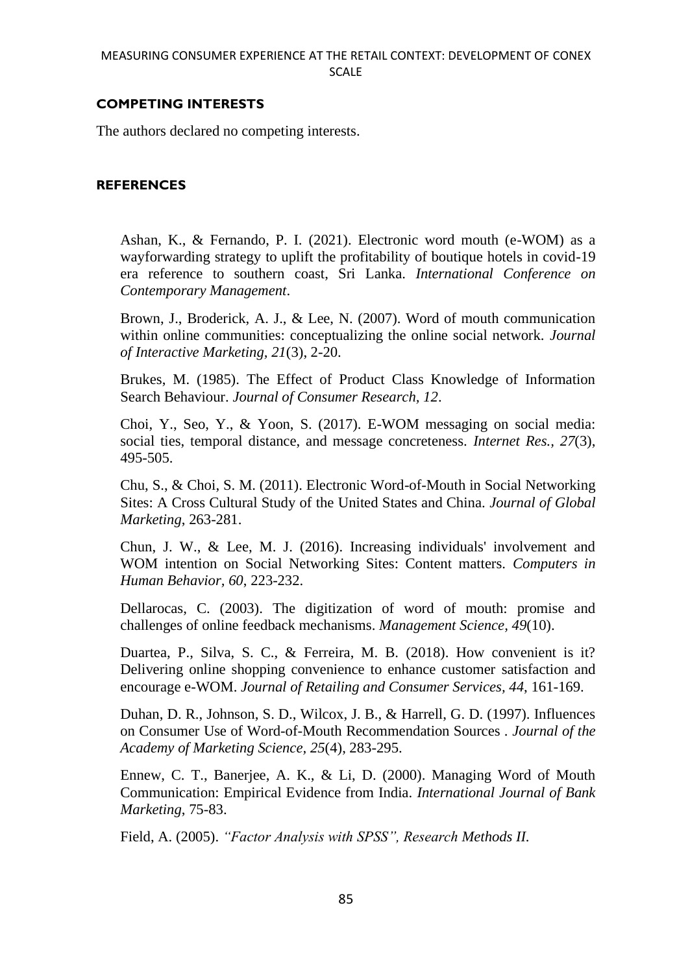# **COMPETING INTERESTS**

The authors declared no competing interests.

### **REFERENCES**

Ashan, K., & Fernando, P. I. (2021). Electronic word mouth (e-WOM) as a wayforwarding strategy to uplift the profitability of boutique hotels in covid-19 era reference to southern coast, Sri Lanka. *International Conference on Contemporary Management*.

Brown, J., Broderick, A. J., & Lee, N. (2007). Word of mouth communication within online communities: conceptualizing the online social network. *Journal of Interactive Marketing, 21*(3), 2-20.

Brukes, M. (1985). The Effect of Product Class Knowledge of Information Search Behaviour. *Journal of Consumer Research, 12*.

Choi, Y., Seo, Y., & Yoon, S. (2017). E-WOM messaging on social media: social ties, temporal distance, and message concreteness. *Internet Res., 27*(3), 495-505.

Chu, S., & Choi, S. M. (2011). Electronic Word-of-Mouth in Social Networking Sites: A Cross Cultural Study of the United States and China. *Journal of Global Marketing*, 263-281.

Chun, J. W., & Lee, M. J. (2016). Increasing individuals' involvement and WOM intention on Social Networking Sites: Content matters. *Computers in Human Behavior, 60*, 223-232.

Dellarocas, C. (2003). The digitization of word of mouth: promise and challenges of online feedback mechanisms. *Management Science, 49*(10).

Duartea, P., Silva, S. C., & Ferreira, M. B. (2018). How convenient is it? Delivering online shopping convenience to enhance customer satisfaction and encourage e-WOM. *Journal of Retailing and Consumer Services, 44*, 161-169.

Duhan, D. R., Johnson, S. D., Wilcox, J. B., & Harrell, G. D. (1997). Influences on Consumer Use of Word-of-Mouth Recommendation Sources . *Journal of the Academy of Marketing Science, 25*(4), 283-295.

Ennew, C. T., Banerjee, A. K., & Li, D. (2000). Managing Word of Mouth Communication: Empirical Evidence from India. *International Journal of Bank Marketing*, 75-83.

Field, A. (2005). *"Factor Analysis with SPSS", Research Methods II.*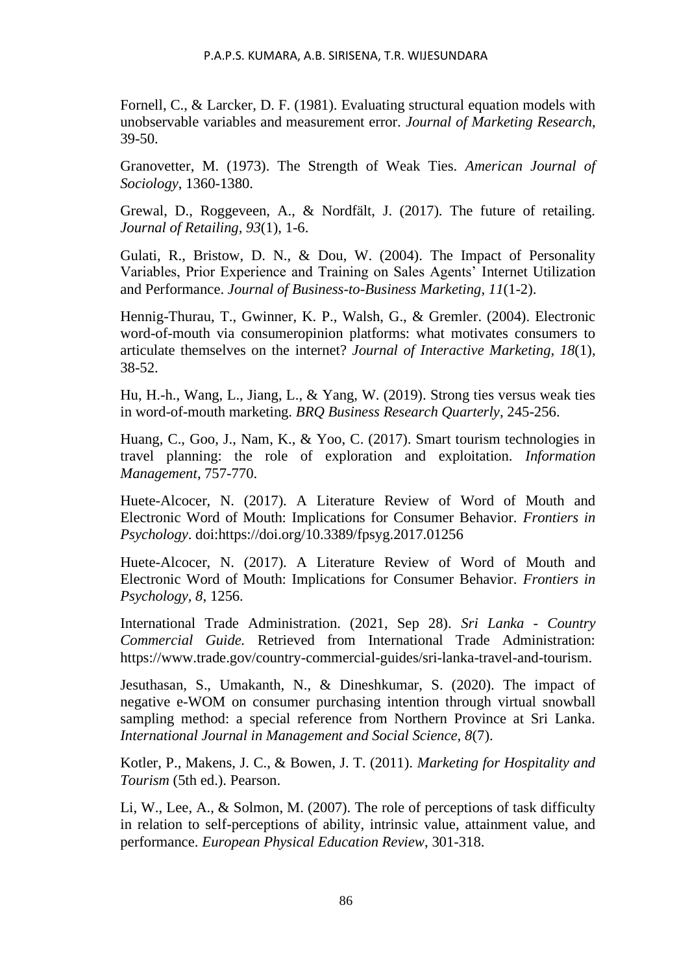Fornell, C., & Larcker, D. F. (1981). Evaluating structural equation models with unobservable variables and measurement error. *Journal of Marketing Research*, 39-50.

Granovetter, M. (1973). The Strength of Weak Ties. *American Journal of Sociology*, 1360-1380.

Grewal, D., Roggeveen, A., & Nordfält, J. (2017). The future of retailing. *Journal of Retailing, 93*(1), 1-6.

Gulati, R., Bristow, D. N., & Dou, W. (2004). The Impact of Personality Variables, Prior Experience and Training on Sales Agents' Internet Utilization and Performance. *Journal of Business-to-Business Marketing, 11*(1-2).

Hennig-Thurau, T., Gwinner, K. P., Walsh, G., & Gremler. (2004). Electronic word-of-mouth via consumeropinion platforms: what motivates consumers to articulate themselves on the internet? *Journal of Interactive Marketing, 18*(1), 38-52.

Hu, H.-h., Wang, L., Jiang, L., & Yang, W. (2019). Strong ties versus weak ties in word-of-mouth marketing. *BRQ Business Research Quarterly*, 245-256.

Huang, C., Goo, J., Nam, K., & Yoo, C. (2017). Smart tourism technologies in travel planning: the role of exploration and exploitation. *Information Management*, 757-770.

Huete-Alcocer, N. (2017). A Literature Review of Word of Mouth and Electronic Word of Mouth: Implications for Consumer Behavior. *Frontiers in Psychology*. doi:https://doi.org/10.3389/fpsyg.2017.01256

Huete-Alcocer, N. (2017). A Literature Review of Word of Mouth and Electronic Word of Mouth: Implications for Consumer Behavior. *Frontiers in Psychology, 8*, 1256.

International Trade Administration. (2021, Sep 28). *Sri Lanka - Country Commercial Guide.* Retrieved from International Trade Administration: https://www.trade.gov/country-commercial-guides/sri-lanka-travel-and-tourism.

Jesuthasan, S., Umakanth, N., & Dineshkumar, S. (2020). The impact of negative e-WOM on consumer purchasing intention through virtual snowball sampling method: a special reference from Northern Province at Sri Lanka. *International Journal in Management and Social Science, 8*(7).

Kotler, P., Makens, J. C., & Bowen, J. T. (2011). *Marketing for Hospitality and Tourism* (5th ed.). Pearson.

Li, W., Lee, A., & Solmon, M. (2007). The role of perceptions of task difficulty in relation to self-perceptions of ability, intrinsic value, attainment value, and performance. *European Physical Education Review*, 301-318.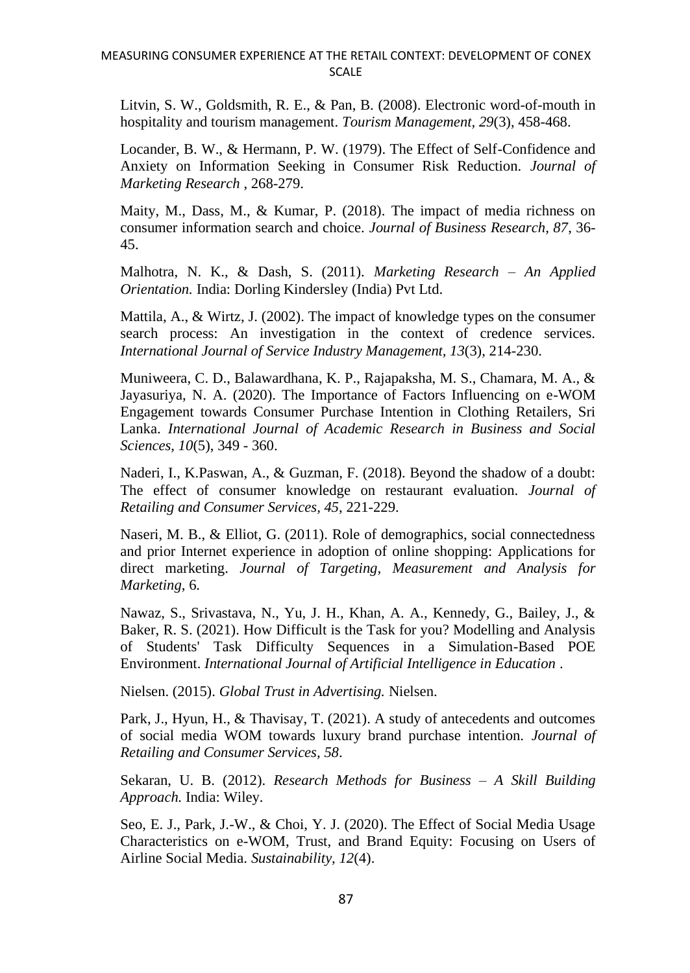Litvin, S. W., Goldsmith, R. E., & Pan, B. (2008). Electronic word-of-mouth in hospitality and tourism management. *Tourism Management, 29*(3), 458-468.

Locander, B. W., & Hermann, P. W. (1979). The Effect of Self-Confidence and Anxiety on Information Seeking in Consumer Risk Reduction. *Journal of Marketing Research* , 268-279.

Maity, M., Dass, M., & Kumar, P. (2018). The impact of media richness on consumer information search and choice. *Journal of Business Research, 87*, 36- 45.

Malhotra, N. K., & Dash, S. (2011). *Marketing Research – An Applied Orientation.* India: Dorling Kindersley (India) Pvt Ltd.

Mattila, A., & Wirtz, J. (2002). The impact of knowledge types on the consumer search process: An investigation in the context of credence services. *International Journal of Service Industry Management, 13*(3), 214-230.

Muniweera, C. D., Balawardhana, K. P., Rajapaksha, M. S., Chamara, M. A., & Jayasuriya, N. A. (2020). The Importance of Factors Influencing on e-WOM Engagement towards Consumer Purchase Intention in Clothing Retailers, Sri Lanka. *International Journal of Academic Research in Business and Social Sciences, 10*(5), 349 - 360.

Naderi, I., K.Paswan, A., & Guzman, F. (2018). Beyond the shadow of a doubt: The effect of consumer knowledge on restaurant evaluation. *Journal of Retailing and Consumer Services, 45*, 221-229.

Naseri, M. B., & Elliot, G. (2011). Role of demographics, social connectedness and prior Internet experience in adoption of online shopping: Applications for direct marketing. *Journal of Targeting, Measurement and Analysis for Marketing*, 6.

Nawaz, S., Srivastava, N., Yu, J. H., Khan, A. A., Kennedy, G., Bailey, J., & Baker, R. S. (2021). How Difficult is the Task for you? Modelling and Analysis of Students' Task Difficulty Sequences in a Simulation-Based POE Environment. *International Journal of Artificial Intelligence in Education* .

Nielsen. (2015). *Global Trust in Advertising.* Nielsen.

Park, J., Hyun, H., & Thavisay, T. (2021). A study of antecedents and outcomes of social media WOM towards luxury brand purchase intention. *Journal of Retailing and Consumer Services, 58*.

Sekaran, U. B. (2012). *Research Methods for Business – A Skill Building Approach.* India: Wiley.

Seo, E. J., Park, J.-W., & Choi, Y. J. (2020). The Effect of Social Media Usage Characteristics on e-WOM, Trust, and Brand Equity: Focusing on Users of Airline Social Media. *Sustainability, 12*(4).